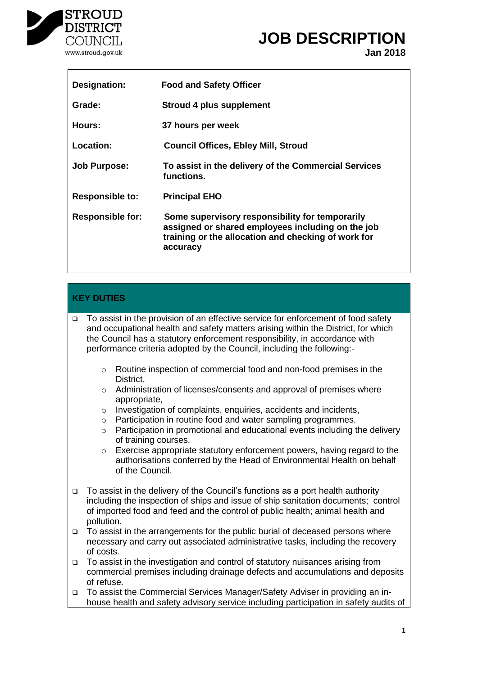

# **JOB DESCRIPTION**

**Jan 2018**

| Designation:            | <b>Food and Safety Officer</b>                                                                                                                                          |
|-------------------------|-------------------------------------------------------------------------------------------------------------------------------------------------------------------------|
| Grade:                  | <b>Stroud 4 plus supplement</b>                                                                                                                                         |
| Hours:                  | 37 hours per week                                                                                                                                                       |
| Location:               | <b>Council Offices, Ebley Mill, Stroud</b>                                                                                                                              |
| <b>Job Purpose:</b>     | To assist in the delivery of the Commercial Services<br>functions.                                                                                                      |
| <b>Responsible to:</b>  | <b>Principal EHO</b>                                                                                                                                                    |
| <b>Responsible for:</b> | Some supervisory responsibility for temporarily<br>assigned or shared employees including on the job<br>training or the allocation and checking of work for<br>accuracy |

## **KEY DUTIES**

□ To assist in the provision of an effective service for enforcement of food safety and occupational health and safety matters arising within the District, for which the Council has a statutory enforcement responsibility, in accordance with performance criteria adopted by the Council, including the following:-

- o Routine inspection of commercial food and non-food premises in the District,
- o Administration of licenses/consents and approval of premises where appropriate,
- o Investigation of complaints, enquiries, accidents and incidents,
- o Participation in routine food and water sampling programmes.
- o Participation in promotional and educational events including the delivery of training courses.

o Exercise appropriate statutory enforcement powers, having regard to the authorisations conferred by the Head of Environmental Health on behalf of the Council.

- To assist in the delivery of the Council's functions as a port health authority including the inspection of ships and issue of ship sanitation documents; control of imported food and feed and the control of public health; animal health and pollution.
- $\Box$  To assist in the arrangements for the public burial of deceased persons where necessary and carry out associated administrative tasks, including the recovery of costs.
- To assist in the investigation and control of statutory nuisances arising from commercial premises including drainage defects and accumulations and deposits of refuse.
- To assist the Commercial Services Manager/Safety Adviser in providing an inhouse health and safety advisory service including participation in safety audits of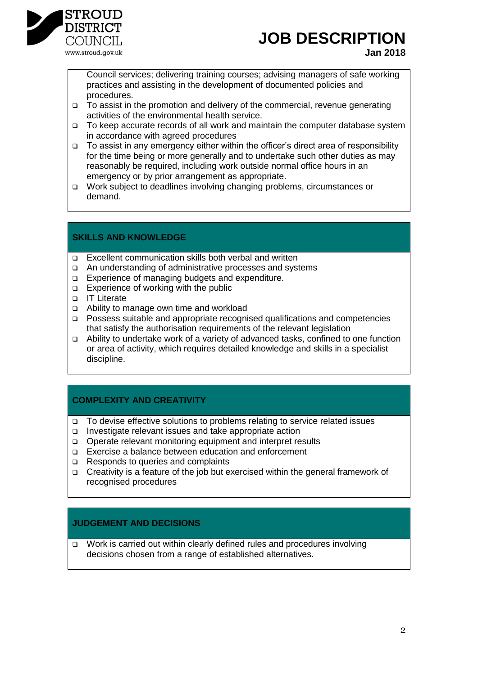

## **JOB DESCRIPTION**

Council services; delivering training courses; advising managers of safe working practices and assisting in the development of documented policies and procedures.

- To assist in the promotion and delivery of the commercial, revenue generating activities of the environmental health service.
- To keep accurate records of all work and maintain the computer database system in accordance with agreed procedures
- To assist in any emergency either within the officer's direct area of responsibility for the time being or more generally and to undertake such other duties as may reasonably be required, including work outside normal office hours in an emergency or by prior arrangement as appropriate.
- Work subject to deadlines involving changing problems, circumstances or demand.

#### **SKILLS AND KNOWLEDGE**

- □ Excellent communication skills both verbal and written
- An understanding of administrative processes and systems
- Experience of managing budgets and expenditure.
- $\Box$  Experience of working with the public
- IT Literate
- Ability to manage own time and workload
- Possess suitable and appropriate recognised qualifications and competencies that satisfy the authorisation requirements of the relevant legislation
- Ability to undertake work of a variety of advanced tasks, confined to one function or area of activity, which requires detailed knowledge and skills in a specialist discipline.

#### **COMPLEXITY AND CREATIVITY**

- To devise effective solutions to problems relating to service related issues
- Investigate relevant issues and take appropriate action
- Operate relevant monitoring equipment and interpret results
- Exercise a balance between education and enforcement
- □ Responds to queries and complaints
- □ Creativity is a feature of the job but exercised within the general framework of recognised procedures

#### **JUDGEMENT AND DECISIONS**

 Work is carried out within clearly defined rules and procedures involving decisions chosen from a range of established alternatives.